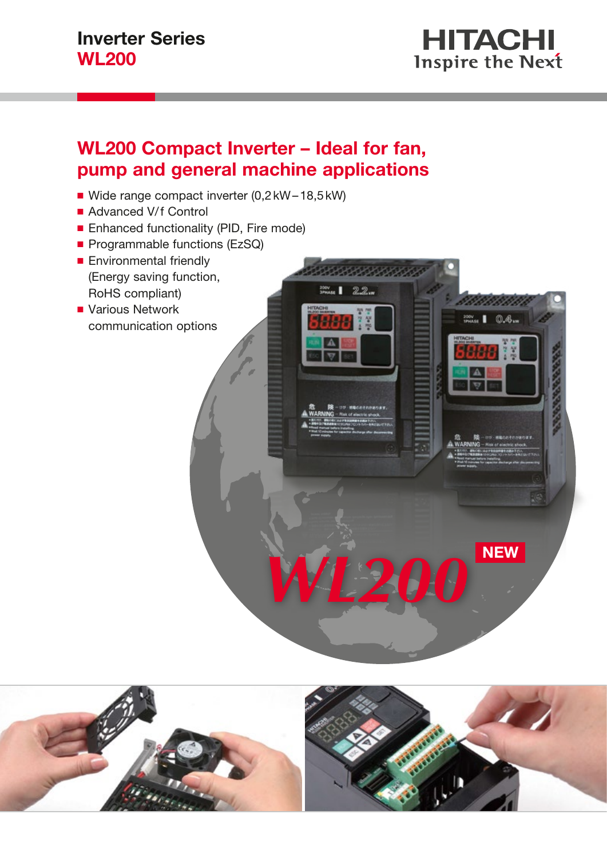

 $\mathbb{R}$   $\mathbb{R}$   $\mathbb{R}$   $\mathbb{R}$   $\mathbb{R}$   $\mathbb{R}$   $\mathbb{R}$   $\mathbb{R}$   $\mathbb{R}$   $\mathbb{R}$   $\mathbb{R}$   $\mathbb{R}$   $\mathbb{R}$   $\mathbb{R}$   $\mathbb{R}$   $\mathbb{R}$   $\mathbb{R}$   $\mathbb{R}$   $\mathbb{R}$   $\mathbb{R}$   $\mathbb{R}$   $\mathbb{R}$   $\mathbb{R}$   $\mathbb{R}$   $\mathbb{$ 

## WL200 Compact Inverter – Ideal for fan, pump and general machine applications

- Wide range compact inverter (0,2 kW-18,5 kW)
- Advanced V/f Control
- Enhanced functionality (PID, Fire mode)
- Programmable functions (EzSQ)
- Environmental friendly (Energy saving function, RoHS compliant)
- Various Network communication options



**WL200** 

00000000

 $22$ w